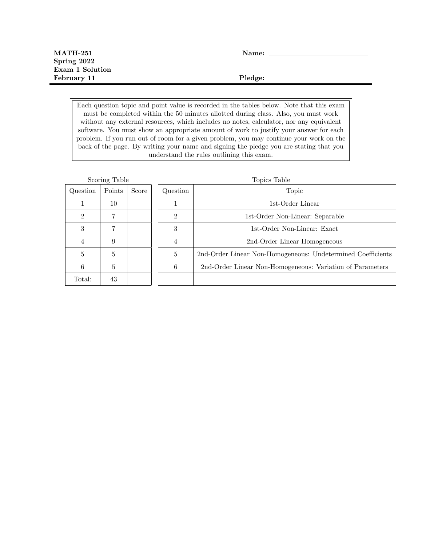Each question topic and point value is recorded in the tables below. Note that this exam must be completed within the 50 minutes allotted during class. Also, you must work without any external resources, which includes no notes, calculator, nor any equivalent software. You must show an appropriate amount of work to justify your answer for each problem. If you run out of room for a given problem, you may continue your work on the back of the page. By writing your name and signing the pledge you are stating that you understand the rules outlining this exam.

| Scoring Table               |        |       | Topics Table   |                                                             |  |
|-----------------------------|--------|-------|----------------|-------------------------------------------------------------|--|
| Question                    | Points | Score | Question       | Topic                                                       |  |
|                             | 10     |       |                | 1st-Order Linear                                            |  |
| $\mathcal{D}_{\mathcal{L}}$ | ד      |       | $\mathfrak{D}$ | 1st-Order Non-Linear: Separable                             |  |
| 3                           |        |       | 3              | 1st-Order Non-Linear: Exact                                 |  |
| 4                           | 9      |       | $\overline{4}$ | 2nd-Order Linear Homogeneous                                |  |
| 5                           | 5      |       | 5              | 2nd-Order Linear Non-Homogeneous: Undetermined Coefficients |  |
| 6                           | 5      |       | 6              | 2nd-Order Linear Non-Homogeneous: Variation of Parameters   |  |
| Total:                      | 43     |       |                |                                                             |  |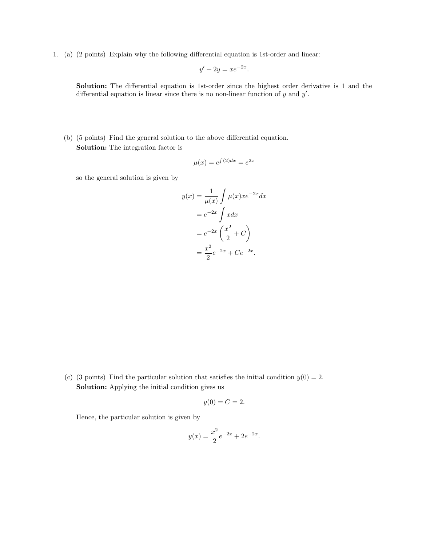1. (a) (2 points) Explain why the following differential equation is 1st-order and linear:

$$
y' + 2y = xe^{-2x}.
$$

Solution: The differential equation is 1st-order since the highest order derivative is 1 and the differential equation is linear since there is no non-linear function of  $y$  and  $y'$ .

(b) (5 points) Find the general solution to the above differential equation. Solution: The integration factor is

$$
\mu(x) = e^{\int (2)dx} = e^{2x}
$$

so the general solution is given by

$$
y(x) = \frac{1}{\mu(x)} \int \mu(x) x e^{-2x} dx
$$

$$
= e^{-2x} \int x dx
$$

$$
= e^{-2x} \left(\frac{x^2}{2} + C\right)
$$

$$
= \frac{x^2}{2} e^{-2x} + Ce^{-2x}.
$$

(c) (3 points) Find the particular solution that satisfies the initial condition  $y(0) = 2$ . Solution: Applying the initial condition gives us

$$
y(0) = C = 2.
$$

Hence, the particular solution is given by

$$
y(x) = \frac{x^2}{2}e^{-2x} + 2e^{-2x}.
$$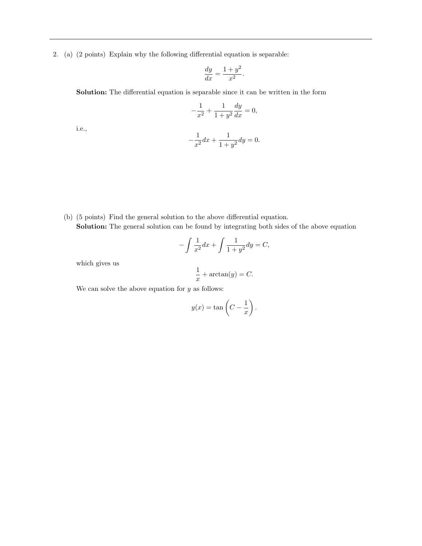2. (a) (2 points) Explain why the following differential equation is separable:

$$
\frac{dy}{dx} = \frac{1+y^2}{x^2}.
$$

Solution: The differential equation is separable since it can be written in the form

$$
-\frac{1}{x^2} + \frac{1}{1+y^2} \frac{dy}{dx} = 0,
$$

i.e.,

$$
-\frac{1}{x^2}dx + \frac{1}{1+y^2}dy = 0.
$$

(b) (5 points) Find the general solution to the above differential equation. Solution: The general solution can be found by integrating both sides of the above equation

$$
-\int \frac{1}{x^2} dx + \int \frac{1}{1+y^2} dy = C,
$$

which gives us

$$
\frac{1}{x} + \arctan(y) = C.
$$

We can solve the above equation for  $y$  as follows:

$$
y(x) = \tan\left(C - \frac{1}{x}\right).
$$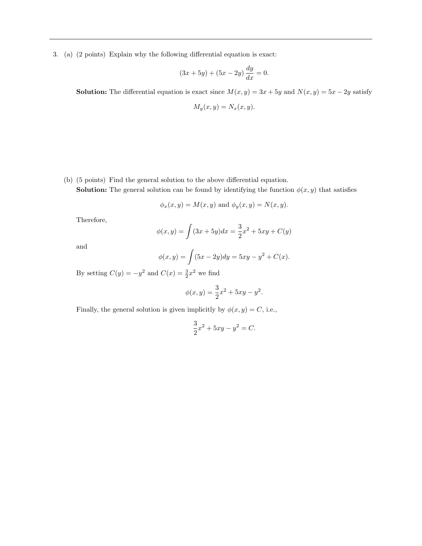3. (a) (2 points) Explain why the following differential equation is exact:

$$
(3x + 5y) + (5x - 2y) \frac{dy}{dx} = 0.
$$

**Solution:** The differential equation is exact since  $M(x, y) = 3x + 5y$  and  $N(x, y) = 5x - 2y$  satisfy

$$
M_y(x, y) = N_x(x, y)
$$

- (b) (5 points) Find the general solution to the above differential equation.
	- **Solution:** The general solution can be found by identifying the function  $\phi(x, y)$  that satisfies

$$
\phi_x(x, y) = M(x, y)
$$
 and  $\phi_y(x, y) = N(x, y)$ .

Therefore,

$$
\phi(x,y) = \int (3x + 5y)dx = \frac{3}{2}x^2 + 5xy + C(y)
$$

and

$$
\phi(x, y) = \int (5x - 2y) dy = 5xy - y^2 + C(x).
$$

By setting  $C(y) = -y^2$  and  $C(x) = \frac{3}{2}x^2$  we find

$$
\phi(x, y) = \frac{3}{2}x^2 + 5xy - y^2.
$$

Finally, the general solution is given implicitly by  $\phi(x, y) = C$ , i.e.,

$$
\frac{3}{2}x^2 + 5xy - y^2 = C.
$$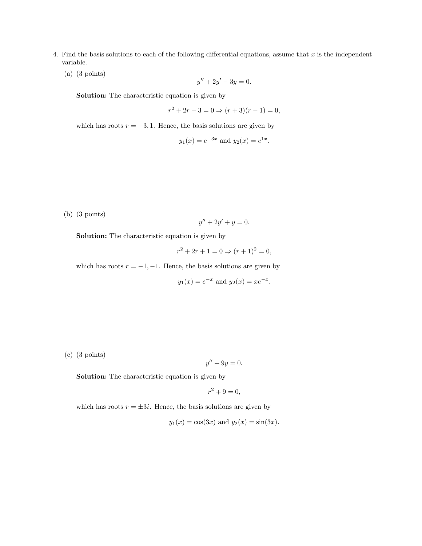- 4. Find the basis solutions to each of the following differential equations, assume that  $x$  is the independent variable.
	- (a) (3 points)

$$
y'' + 2y' - 3y = 0.
$$

Solution: The characteristic equation is given by

$$
r^{2} + 2r - 3 = 0 \Rightarrow (r + 3)(r - 1) = 0,
$$

which has roots  $r = -3, 1$ . Hence, the basis solutions are given by

$$
y_1(x) = e^{-3x}
$$
 and  $y_2(x) = e^{1x}$ .

(b) (3 points)

$$
y'' + 2y' + y = 0.
$$

Solution: The characteristic equation is given by

$$
r^2 + 2r + 1 = 0 \Rightarrow (r+1)^2 = 0,
$$

which has roots  $r = -1, -1$ . Hence, the basis solutions are given by

$$
y_1(x) = e^{-x}
$$
 and  $y_2(x) = xe^{-x}$ .

(c) (3 points)

$$
y'' + 9y = 0.
$$

Solution: The characteristic equation is given by

$$
r^2 + 9 = 0,
$$

which has roots  $r = \pm 3i$ . Hence, the basis solutions are given by

$$
y_1(x) = \cos(3x)
$$
 and  $y_2(x) = \sin(3x)$ .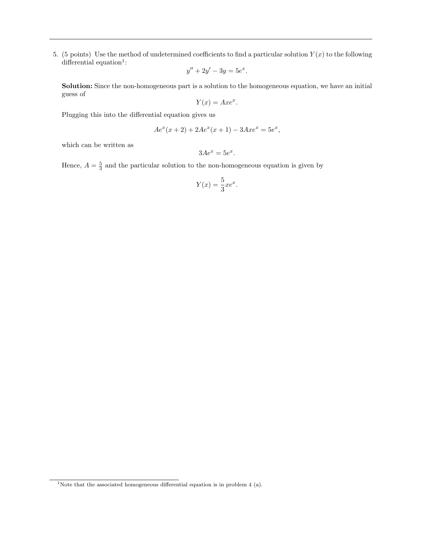5. (5 points) Use the method of undetermined coefficients to find a particular solution  $Y(x)$  to the following differential equation<sup>1</sup>:

$$
y'' + 2y' - 3y = 5e^x.
$$

Solution: Since the non-homogeneous part is a solution to the homogeneous equation, we have an initial guess of

$$
Y(x) = Axe^x.
$$

Plugging this into the differential equation gives us

$$
Ae^{x}(x+2) + 2Ae^{x}(x+1) - 3Axe^{x} = 5e^{x},
$$

which can be written as

 $3Ae^x = 5e^x.$ 

Hence,  $A = \frac{5}{3}$  and the particular solution to the non-homogeneous equation is given by

$$
Y(x) = \frac{5}{3}xe^x.
$$

<sup>&</sup>lt;sup>1</sup>Note that the associated homogeneous differential equation is in problem 4 (a).